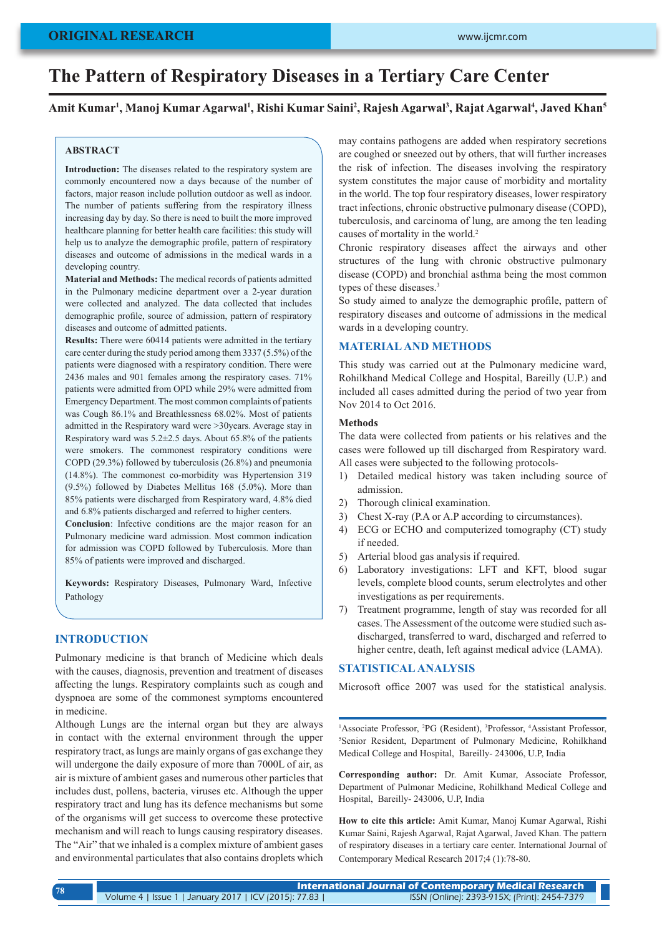# **ORIGINAL RESEARCH**

# **The Pattern of Respiratory Diseases in a Tertiary Care Center**

## Amit Kumar<sup>ı</sup>, Manoj Kumar Agarwal<sup>ı</sup>, Rishi Kumar Saini<sup>2</sup>, Rajesh Agarwal<sup>3</sup>, Rajat Agarwal<sup>4</sup>, Javed Khan<sup>s</sup>

## **ABSTRACT**

**Introduction:** The diseases related to the respiratory system are commonly encountered now a days because of the number of factors, major reason include pollution outdoor as well as indoor. The number of patients suffering from the respiratory illness increasing day by day. So there is need to built the more improved healthcare planning for better health care facilities: this study will help us to analyze the demographic profile, pattern of respiratory diseases and outcome of admissions in the medical wards in a developing country.

**Material and Methods:** The medical records of patients admitted in the Pulmonary medicine department over a 2-year duration were collected and analyzed. The data collected that includes demographic profile, source of admission, pattern of respiratory diseases and outcome of admitted patients.

**Results:** There were 60414 patients were admitted in the tertiary care center during the study period among them 3337 (5.5%) of the patients were diagnosed with a respiratory condition. There were 2436 males and 901 females among the respiratory cases. 71% patients were admitted from OPD while 29% were admitted from Emergency Department. The most common complaints of patients was Cough 86.1% and Breathlessness 68.02%. Most of patients admitted in the Respiratory ward were >30years. Average stay in Respiratory ward was 5.2±2.5 days. About 65.8% of the patients were smokers. The commonest respiratory conditions were COPD (29.3%) followed by tuberculosis (26.8%) and pneumonia (14.8%). The commonest co-morbidity was Hypertension 319 (9.5%) followed by Diabetes Mellitus 168 (5.0%). More than 85% patients were discharged from Respiratory ward, 4.8% died and 6.8% patients discharged and referred to higher centers.

**Conclusion**: Infective conditions are the major reason for an Pulmonary medicine ward admission. Most common indication for admission was COPD followed by Tuberculosis. More than 85% of patients were improved and discharged.

**Keywords:** Respiratory Diseases, Pulmonary Ward, Infective Pathology

## **INTRODUCTION**

Pulmonary medicine is that branch of Medicine which deals with the causes, diagnosis, prevention and treatment of diseases affecting the lungs. Respiratory complaints such as cough and dyspnoea are some of the commonest symptoms encountered in medicine.

Although Lungs are the internal organ but they are always in contact with the external environment through the upper respiratory tract, as lungs are mainly organs of gas exchange they will undergone the daily exposure of more than 7000L of air, as air is mixture of ambient gases and numerous other particles that includes dust, pollens, bacteria, viruses etc. Although the upper respiratory tract and lung has its defence mechanisms but some of the organisms will get success to overcome these protective mechanism and will reach to lungs causing respiratory diseases. The "Air" that we inhaled is a complex mixture of ambient gases and environmental particulates that also contains droplets which

may contains pathogens are added when respiratory secretions are coughed or sneezed out by others, that will further increases the risk of infection. The diseases involving the respiratory system constitutes the major cause of morbidity and mortality in the world. The top four respiratory diseases, lower respiratory tract infections, chronic obstructive pulmonary disease (COPD), tuberculosis, and carcinoma of lung, are among the ten leading causes of mortality in the world.<sup>2</sup>

Chronic respiratory diseases affect the airways and other structures of the lung with chronic obstructive pulmonary disease (COPD) and bronchial asthma being the most common types of these diseases.<sup>3</sup>

So study aimed to analyze the demographic profile, pattern of respiratory diseases and outcome of admissions in the medical wards in a developing country.

### **MATERIAL AND METHODS**

This study was carried out at the Pulmonary medicine ward, Rohilkhand Medical College and Hospital, Bareilly (U.P.) and included all cases admitted during the period of two year from Nov 2014 to Oct 2016.

#### **Methods**

The data were collected from patients or his relatives and the cases were followed up till discharged from Respiratory ward. All cases were subjected to the following protocols-

- 1) Detailed medical history was taken including source of admission.
- 2) Thorough clinical examination.
- 3) Chest X-ray (P.A or A.P according to circumstances).
- 4) ECG or ECHO and computerized tomography (CT) study if needed.
- 5) Arterial blood gas analysis if required.
- 6) Laboratory investigations: LFT and KFT, blood sugar levels, complete blood counts, serum electrolytes and other investigations as per requirements.
- 7) Treatment programme, length of stay was recorded for all cases. The Assessment of the outcome were studied such asdischarged, transferred to ward, discharged and referred to higher centre, death, left against medical advice (LAMA).

## **STATISTICAL ANALYSIS**

Microsoft office 2007 was used for the statistical analysis.

<sup>1</sup> Associate Professor, <sup>2</sup>PG (Resident), <sup>3</sup> Professor, <sup>4</sup> Assistant Professor, <sup>5</sup> Senior, Resident, Department of Pulmonary Medicine, Robilkhand Senior Resident, Department of Pulmonary Medicine, Rohilkhand Medical College and Hospital, Bareilly- 243006, U.P, India

**Corresponding author:** Dr. Amit Kumar, Associate Professor, Department of Pulmonar Medicine, Rohilkhand Medical College and Hospital, Bareilly- 243006, U.P, India

**How to cite this article:** Amit Kumar, Manoj Kumar Agarwal, Rishi Kumar Saini, Rajesh Agarwal, Rajat Agarwal, Javed Khan. The pattern of respiratory diseases in a tertiary care center. International Journal of Contemporary Medical Research 2017;4 (1):78-80.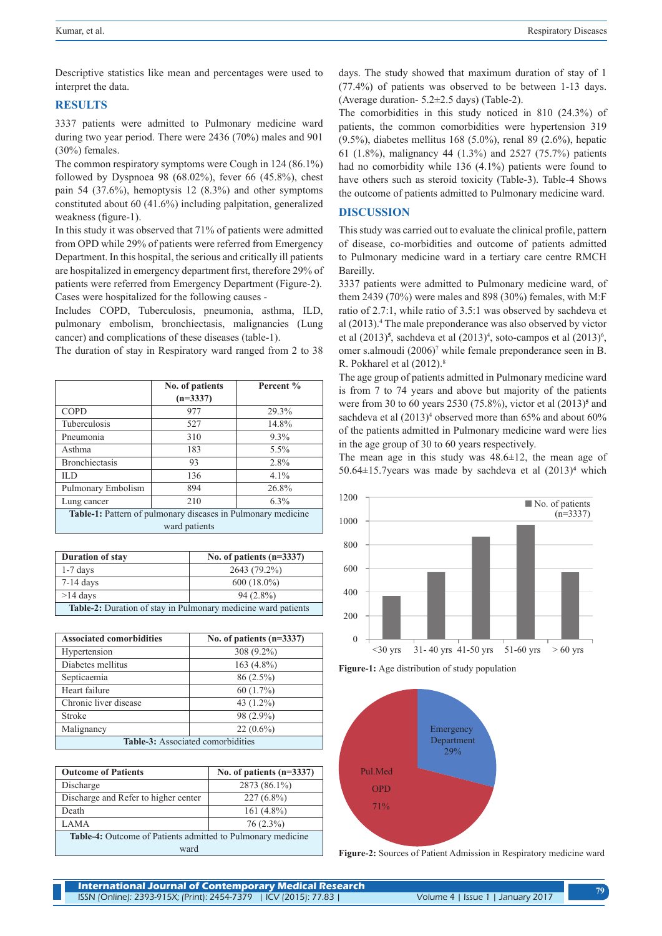Descriptive statistics like mean and percentages were used to interpret the data.

## **RESULTS**

3337 patients were admitted to Pulmonary medicine ward during two year period. There were 2436 (70%) males and 901 (30%) females.

The common respiratory symptoms were Cough in 124 (86.1%) followed by Dyspnoea 98 (68.02%), fever 66 (45.8%), chest pain 54 (37.6%), hemoptysis 12 (8.3%) and other symptoms constituted about 60 (41.6%) including palpitation, generalized weakness (figure-1).

In this study it was observed that 71% of patients were admitted from OPD while 29% of patients were referred from Emergency Department. In this hospital, the serious and critically ill patients are hospitalized in emergency department first, therefore 29% of patients were referred from Emergency Department (Figure-2). Cases were hospitalized for the following causes -

Includes COPD, Tuberculosis, pneumonia, asthma, ILD, pulmonary embolism, bronchiectasis, malignancies (Lung cancer) and complications of these diseases (table-1).

The duration of stay in Respiratory ward ranged from 2 to 38

|                                                              | No. of patients<br>$(n=3337)$ | Percent % |  |
|--------------------------------------------------------------|-------------------------------|-----------|--|
| <b>COPD</b>                                                  | 977                           | 29.3%     |  |
| Tuberculosis                                                 | 527                           | 14.8%     |  |
| Pneumonia                                                    | 310                           | $9.3\%$   |  |
| Asthma                                                       | 183                           | $5.5\%$   |  |
| <b>Bronchiectasis</b>                                        | 93                            | 2.8%      |  |
| IL D                                                         | 136                           | $4.1\%$   |  |
| Pulmonary Embolism                                           | 894                           | 26.8%     |  |
| Lung cancer                                                  | 210                           | $6.3\%$   |  |
| Table-1: Pattern of pulmonary diseases in Pulmonary medicine |                               |           |  |
| ward patients                                                |                               |           |  |

| Duration of stay                                                     | No. of patients $(n=3337)$ |  |
|----------------------------------------------------------------------|----------------------------|--|
| $1-7$ days                                                           | 2643 (79.2%)               |  |
| $7-14$ days                                                          | $600(18.0\%)$              |  |
| $>14$ days                                                           | $94(2.8\%)$                |  |
| <b>Table-2:</b> Duration of stay in Pulmonary medicine ward patients |                            |  |

| <b>Associated comorbidities</b>          | No. of patients $(n=3337)$ |  |
|------------------------------------------|----------------------------|--|
| Hypertension                             | 308 (9.2%)                 |  |
| Diabetes mellitus                        | $163(4.8\%)$               |  |
| Septicaemia                              | 86 (2.5%)                  |  |
| Heart failure                            | $60(1.7\%)$                |  |
| Chronic liver disease                    | 43 $(1.2\%)$               |  |
| Stroke                                   | 98 (2.9%)                  |  |
| Malignancy                               | $22(0.6\%)$                |  |
| <b>Table-3:</b> Associated comorbidities |                            |  |

| <b>Outcome of Patients</b>                                         | No. of patients $(n=3337)$ |  |
|--------------------------------------------------------------------|----------------------------|--|
| Discharge                                                          | 2873 (86.1%)               |  |
| Discharge and Refer to higher center                               | $227(6.8\%)$               |  |
| Death                                                              | $161(4.8\%)$               |  |
| <b>LAMA</b>                                                        | 76 (2.3%)                  |  |
| <b>Table-4:</b> Outcome of Patients admitted to Pulmonary medicine |                            |  |
| ward                                                               |                            |  |

days. The study showed that maximum duration of stay of 1 (77.4%) of patients was observed to be between 1-13 days. (Average duration- 5.2±2.5 days) (Table-2).

The comorbidities in this study noticed in 810 (24.3%) of patients, the common comorbidities were hypertension 319 (9.5%), diabetes mellitus 168 (5.0%), renal 89 (2.6%), hepatic 61 (1.8%), malignancy 44 (1.3%) and 2527 (75.7%) patients had no comorbidity while 136 (4.1%) patients were found to have others such as steroid toxicity (Table-3). Table-4 Shows the outcome of patients admitted to Pulmonary medicine ward.

## **DISCUSSION**

This study was carried out to evaluate the clinical profile, pattern of disease, co-morbidities and outcome of patients admitted to Pulmonary medicine ward in a tertiary care centre RMCH Bareilly.

3337 patients were admitted to Pulmonary medicine ward, of them 2439 (70%) were males and 898 (30%) females, with M:F ratio of 2.7:1, while ratio of 3.5:1 was observed by sachdeva et al (2013).<sup>4</sup> The male preponderance was also observed by victor et al  $(2013)^5$ , sachdeva et al  $(2013)^4$ , soto-campos et al  $(2013)^6$ , omer s.almoudi (2006)<sup>7</sup> while female preponderance seen in B. R. Pokharel et al  $(2012)^8$ 

The age group of patients admitted in Pulmonary medicine ward is from 7 to 74 years and above but majority of the patients were from 30 to 60 years 2530 (75.8%), victor et al (2013)<sup>5</sup> and sachdeva et al  $(2013)^4$  observed more than 65% and about 60% of the patients admitted in Pulmonary medicine ward were lies in the age group of 30 to 60 years respectively.

The mean age in this study was  $48.6 \pm 12$ , the mean age of 50.64 $\pm$ 15.7years was made by sachdeva et al  $(2013)^4$  which



**Figure-1:** Age distribution of study population



**Figure-2:** Sources of Patient Admission in Respiratory medicine ward